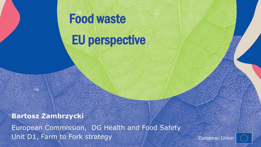# Food waste EU perspective

#### **Bartosz Zambrzycki**

European Commission, DG Health and Food Safety Unit D1, Farm to Fork strategy

European Union

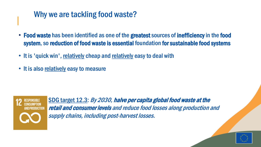### Why we are tackling food waste?

- Food waste has been identified as one of the greatest sources of inefficiency in the food system, so reduction of food waste is essential foundation for sustainable food systems
- It is 'quick win', relatively cheap and relatively easy to deal with
- It is also relatively easy to measure



SDG target 12.3: By 2030, halve per capita global food waste at the retail and consumer levels and reduce food losses along production and supply chains, including post-harvest losses.

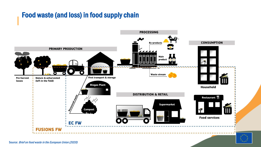#### Food waste (and loss) in food supply chain



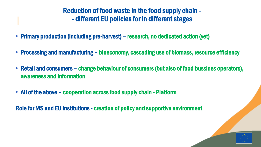#### Reduction of food waste in the food supply chain - - different EU policies for in different stages

- Primary production (including pre-harvest) research, no dedicated action (yet)
- Processing and manufacturing bioeconomy, cascading use of biomass, resource efficiency
- Retail and consumers change behaviour of consumers (but also of food bussines operators), awareness and information
- All of the above cooperation across food supply chain Platform

Role for MS and EU institutions - creation of policy and supportive environment

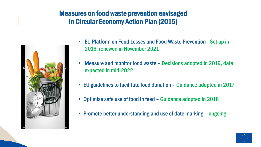#### Measures on food waste prevention envisaged in Circular Economy Action Plan (2015)



- EU Platform on Food Losses and Food Waste Prevention Set up in 2016, renewed in November 2021
- Measure and monitor food waste Decisions adopted in 2019, data expected in mid-2022
- EU guidelines to facilitate food donation Guidance adopted in 2017
- Optimise safe use of food in feed Guidance adopted in 2018
- Promote better understanding and use of date marking ongoing

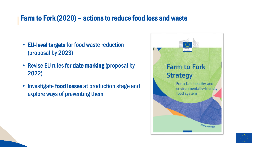#### Farm to Fork (2020) – actions to reduce food loss and waste

- EU-level targets for food waste reduction (proposal by 2023)
- Revise EU rules for date marking (proposal by 2022)
- Investigate food losses at production stage and explore ways of preventing them



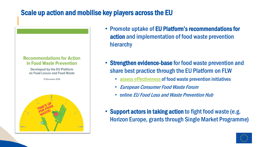#### Scale up action and mobilise key players across the EU



- Promote uptake of EU Platform's recommendations for action and implementation of food waste prevention hierarchy
- Strengthen evidence-base for food waste prevention and share best practice through the EU Platform on FLW
	- assess [effectiveness](https://ec.europa.eu/food/sites/food/files/safety/docs/fs_eu-actions_eu-platform_jrc-assess-fw.pdf) of food waste prevention initiatives
	- European Consumer Food Waste Forum
	- online *EU Food Loss and Waste Prevention Hub*
- Support actors in taking action to fight food waste (e.g. Horizon Europe, grants through Single Market Programme)

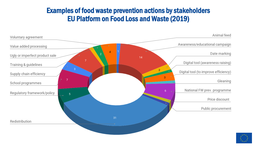#### Examples of food waste prevention actions by stakeholders EU Platform on Food Loss and Waste (2019)